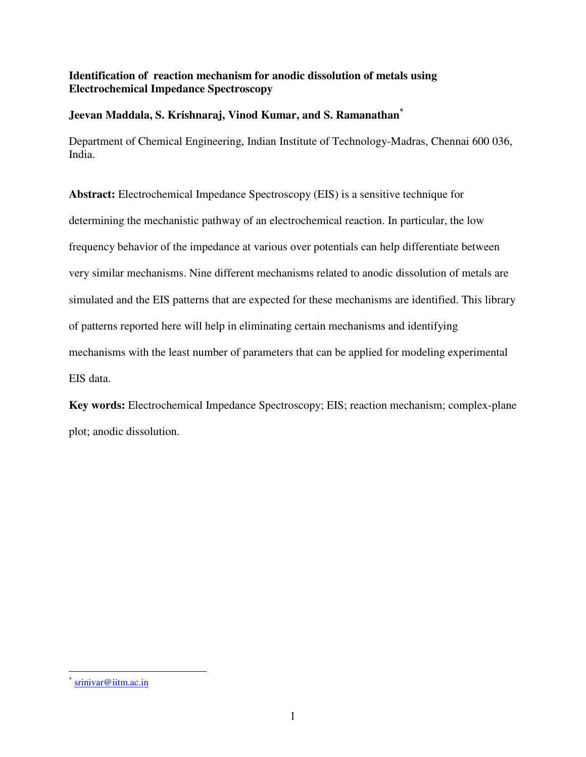## **Identification of reaction mechanism for anodic dissolution of metals using Electrochemical Impedance Spectroscopy**

### **Jeevan Maddala, S. Krishnaraj, Vinod Kumar, and S. Ramanathan\***

Department of Chemical Engineering, Indian Institute of Technology-Madras, Chennai 600 036, India.

**Abstract:** Electrochemical Impedance Spectroscopy (EIS) is a sensitive technique for determining the mechanistic pathway of an electrochemical reaction. In particular, the low frequency behavior of the impedance at various over potentials can help differentiate between very similar mechanisms. Nine different mechanisms related to anodic dissolution of metals are simulated and the EIS patterns that are expected for these mechanisms are identified. This library of patterns reported here will help in eliminating certain mechanisms and identifying mechanisms with the least number of parameters that can be applied for modeling experimental EIS data.

**Key words:** Electrochemical Impedance Spectroscopy; EIS; reaction mechanism; complex-plane plot; anodic dissolution.

 $\overline{a}$ 

<sup>\*</sup> srinivar@iitm.ac.in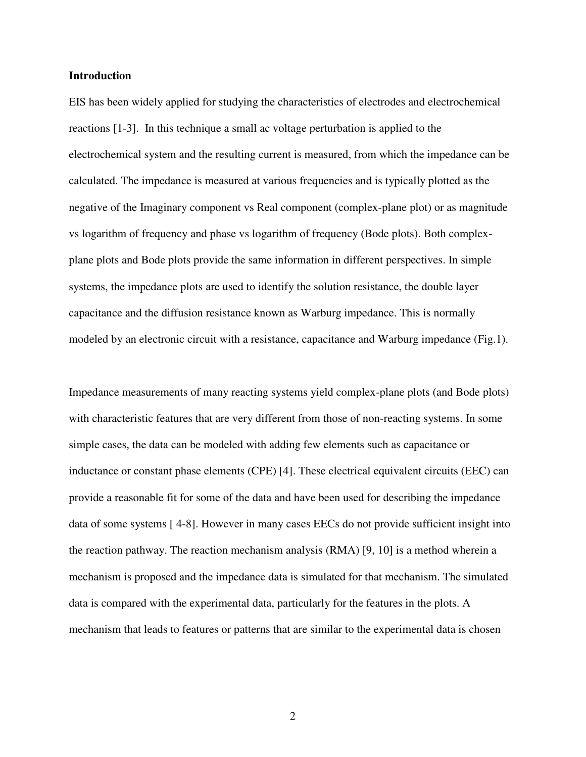#### **Introduction**

EIS has been widely applied for studying the characteristics of electrodes and electrochemical reactions [1-3]. In this technique a small ac voltage perturbation is applied to the electrochemical system and the resulting current is measured, from which the impedance can be calculated. The impedance is measured at various frequencies and is typically plotted as the negative of the Imaginary component vs Real component (complex-plane plot) or as magnitude vs logarithm of frequency and phase vs logarithm of frequency (Bode plots). Both complexplane plots and Bode plots provide the same information in different perspectives. In simple systems, the impedance plots are used to identify the solution resistance, the double layer capacitance and the diffusion resistance known as Warburg impedance. This is normally modeled by an electronic circuit with a resistance, capacitance and Warburg impedance (Fig.1).

Impedance measurements of many reacting systems yield complex-plane plots (and Bode plots) with characteristic features that are very different from those of non-reacting systems. In some simple cases, the data can be modeled with adding few elements such as capacitance or inductance or constant phase elements (CPE) [4]. These electrical equivalent circuits (EEC) can provide a reasonable fit for some of the data and have been used for describing the impedance data of some systems [ 4-8]. However in many cases EECs do not provide sufficient insight into the reaction pathway. The reaction mechanism analysis (RMA) [9, 10] is a method wherein a mechanism is proposed and the impedance data is simulated for that mechanism. The simulated data is compared with the experimental data, particularly for the features in the plots. A mechanism that leads to features or patterns that are similar to the experimental data is chosen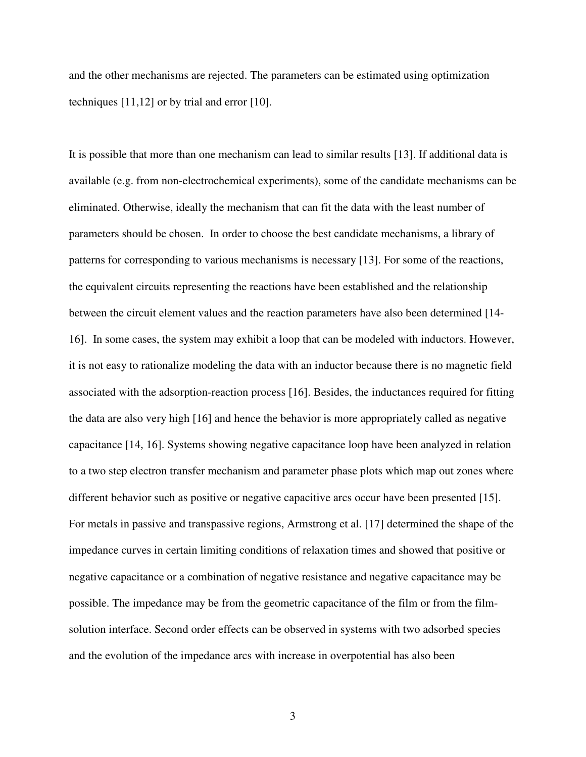and the other mechanisms are rejected. The parameters can be estimated using optimization techniques [11,12] or by trial and error [10].

It is possible that more than one mechanism can lead to similar results [13]. If additional data is available (e.g. from non-electrochemical experiments), some of the candidate mechanisms can be eliminated. Otherwise, ideally the mechanism that can fit the data with the least number of parameters should be chosen. In order to choose the best candidate mechanisms, a library of patterns for corresponding to various mechanisms is necessary [13]. For some of the reactions, the equivalent circuits representing the reactions have been established and the relationship between the circuit element values and the reaction parameters have also been determined [14- 16]. In some cases, the system may exhibit a loop that can be modeled with inductors. However, it is not easy to rationalize modeling the data with an inductor because there is no magnetic field associated with the adsorption-reaction process [16]. Besides, the inductances required for fitting the data are also very high [16] and hence the behavior is more appropriately called as negative capacitance [14, 16]. Systems showing negative capacitance loop have been analyzed in relation to a two step electron transfer mechanism and parameter phase plots which map out zones where different behavior such as positive or negative capacitive arcs occur have been presented [15]. For metals in passive and transpassive regions, Armstrong et al. [17] determined the shape of the impedance curves in certain limiting conditions of relaxation times and showed that positive or negative capacitance or a combination of negative resistance and negative capacitance may be possible. The impedance may be from the geometric capacitance of the film or from the filmsolution interface. Second order effects can be observed in systems with two adsorbed species and the evolution of the impedance arcs with increase in overpotential has also been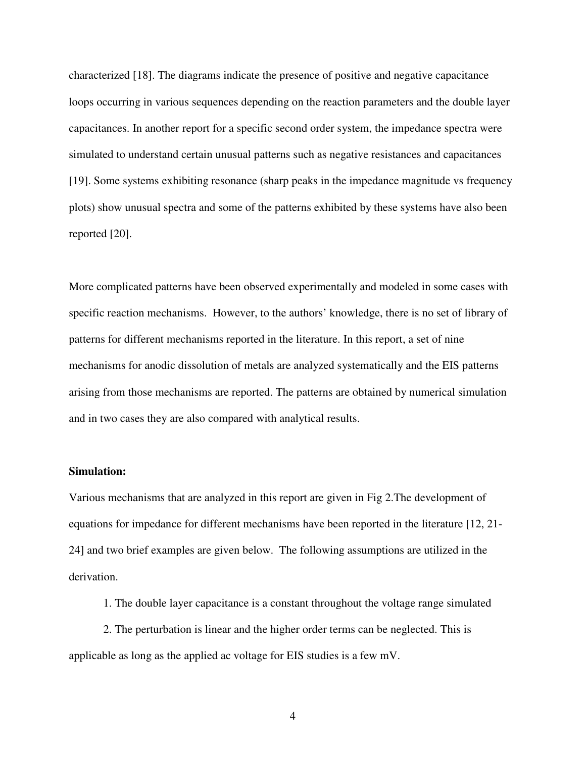characterized [18]. The diagrams indicate the presence of positive and negative capacitance loops occurring in various sequences depending on the reaction parameters and the double layer capacitances. In another report for a specific second order system, the impedance spectra were simulated to understand certain unusual patterns such as negative resistances and capacitances [19]. Some systems exhibiting resonance (sharp peaks in the impedance magnitude vs frequency plots) show unusual spectra and some of the patterns exhibited by these systems have also been reported [20].

More complicated patterns have been observed experimentally and modeled in some cases with specific reaction mechanisms. However, to the authors' knowledge, there is no set of library of patterns for different mechanisms reported in the literature. In this report, a set of nine mechanisms for anodic dissolution of metals are analyzed systematically and the EIS patterns arising from those mechanisms are reported. The patterns are obtained by numerical simulation and in two cases they are also compared with analytical results.

### **Simulation:**

Various mechanisms that are analyzed in this report are given in Fig 2.The development of equations for impedance for different mechanisms have been reported in the literature [12, 21- 24] and two brief examples are given below. The following assumptions are utilized in the derivation.

1. The double layer capacitance is a constant throughout the voltage range simulated

2. The perturbation is linear and the higher order terms can be neglected. This is applicable as long as the applied ac voltage for EIS studies is a few mV.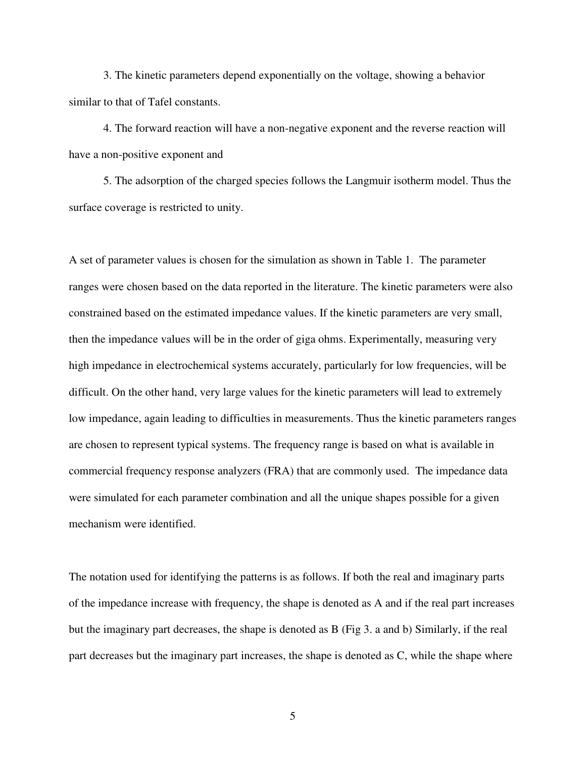3. The kinetic parameters depend exponentially on the voltage, showing a behavior similar to that of Tafel constants.

4. The forward reaction will have a non-negative exponent and the reverse reaction will have a non-positive exponent and

5. The adsorption of the charged species follows the Langmuir isotherm model. Thus the surface coverage is restricted to unity.

A set of parameter values is chosen for the simulation as shown in Table 1. The parameter ranges were chosen based on the data reported in the literature. The kinetic parameters were also constrained based on the estimated impedance values. If the kinetic parameters are very small, then the impedance values will be in the order of giga ohms. Experimentally, measuring very high impedance in electrochemical systems accurately, particularly for low frequencies, will be difficult. On the other hand, very large values for the kinetic parameters will lead to extremely low impedance, again leading to difficulties in measurements. Thus the kinetic parameters ranges are chosen to represent typical systems. The frequency range is based on what is available in commercial frequency response analyzers (FRA) that are commonly used. The impedance data were simulated for each parameter combination and all the unique shapes possible for a given mechanism were identified.

The notation used for identifying the patterns is as follows. If both the real and imaginary parts of the impedance increase with frequency, the shape is denoted as A and if the real part increases but the imaginary part decreases, the shape is denoted as B (Fig 3. a and b) Similarly, if the real part decreases but the imaginary part increases, the shape is denoted as C, while the shape where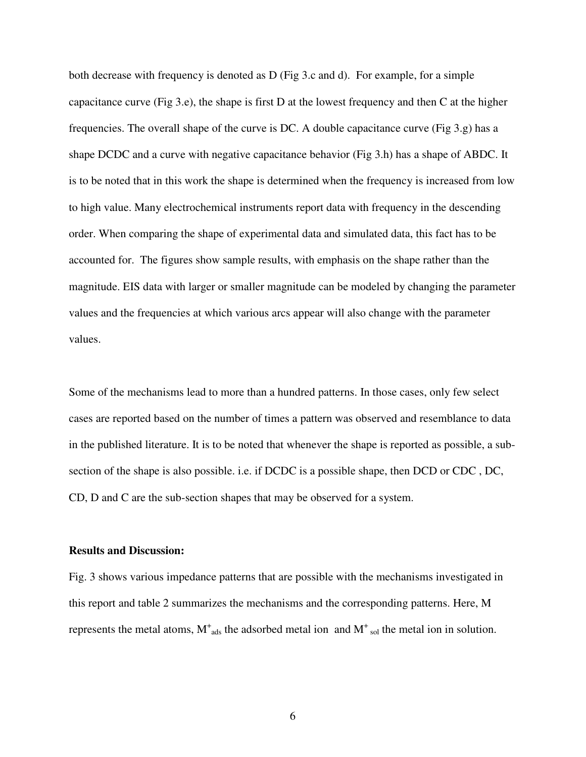both decrease with frequency is denoted as D (Fig 3.c and d). For example, for a simple capacitance curve (Fig 3.e), the shape is first D at the lowest frequency and then C at the higher frequencies. The overall shape of the curve is DC. A double capacitance curve (Fig 3.g) has a shape DCDC and a curve with negative capacitance behavior (Fig 3.h) has a shape of ABDC. It is to be noted that in this work the shape is determined when the frequency is increased from low to high value. Many electrochemical instruments report data with frequency in the descending order. When comparing the shape of experimental data and simulated data, this fact has to be accounted for. The figures show sample results, with emphasis on the shape rather than the magnitude. EIS data with larger or smaller magnitude can be modeled by changing the parameter values and the frequencies at which various arcs appear will also change with the parameter values.

Some of the mechanisms lead to more than a hundred patterns. In those cases, only few select cases are reported based on the number of times a pattern was observed and resemblance to data in the published literature. It is to be noted that whenever the shape is reported as possible, a subsection of the shape is also possible. i.e. if DCDC is a possible shape, then DCD or CDC , DC, CD, D and C are the sub-section shapes that may be observed for a system.

#### **Results and Discussion:**

Fig. 3 shows various impedance patterns that are possible with the mechanisms investigated in this report and table 2 summarizes the mechanisms and the corresponding patterns. Here, M represents the metal atoms,  $M^{\dagger}$ <sub>ads</sub> the adsorbed metal ion and  $M^{\dagger}$ <sub>sol</sub> the metal ion in solution.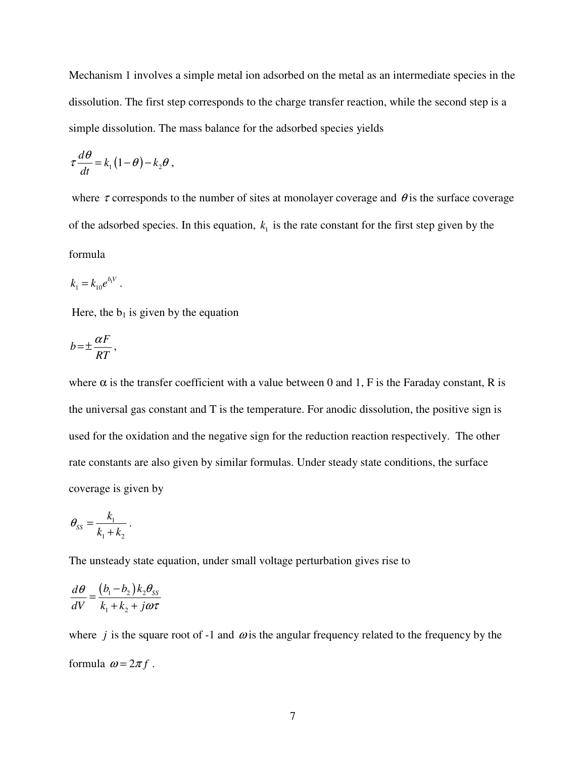Mechanism 1 involves a simple metal ion adsorbed on the metal as an intermediate species in the dissolution. The first step corresponds to the charge transfer reaction, while the second step is a simple dissolution. The mass balance for the adsorbed species yields

$$
\tau \frac{d\theta}{dt} = k_1 (1 - \theta) - k_2 \theta \;,
$$

where  $\tau$  corresponds to the number of sites at monolayer coverage and  $\theta$  is the surface coverage of the adsorbed species. In this equation,  $k_1$  is the rate constant for the first step given by the formula

$$
k_1 = k_{10} e^{b_1 V} .
$$

Here, the  $b_1$  is given by the equation

$$
b = \pm \frac{\alpha F}{RT},
$$

where  $\alpha$  is the transfer coefficient with a value between 0 and 1, F is the Faraday constant, R is the universal gas constant and T is the temperature. For anodic dissolution, the positive sign is used for the oxidation and the negative sign for the reduction reaction respectively. The other rate constants are also given by similar formulas. Under steady state conditions, the surface coverage is given by

$$
\theta_{SS} = \frac{k_1}{k_1 + k_2}.
$$

The unsteady state equation, under small voltage perturbation gives rise to

$$
\frac{d\theta}{dV} = \frac{(b_1 - b_2)k_2\theta_{ss}}{k_1 + k_2 + j\omega\tau}
$$

where  $j$  is the square root of -1 and  $\omega$  is the angular frequency related to the frequency by the formula  $\omega = 2\pi f$ .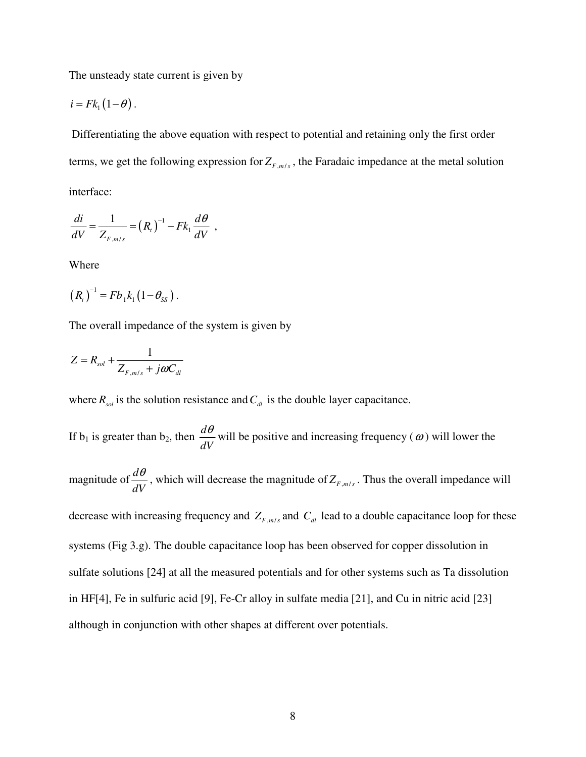The unsteady state current is given by

$$
i = Fk_1(1-\theta).
$$

 Differentiating the above equation with respect to potential and retaining only the first order terms, we get the following expression for  $Z_{F,m/s}$ , the Faradaic impedance at the metal solution interface:

$$
\frac{di}{dV} = \frac{1}{Z_{F,m/s}} = (R_t)^{-1} - Fk_1 \frac{d\theta}{dV} ,
$$

Where

$$
(R_{t})^{-1} = Fb_{1}k_{1}(1-\theta_{ss}).
$$

The overall impedance of the system is given by

$$
Z = R_{sol} + \frac{1}{Z_{F,m/s} + j\omega C_{dl}}
$$

where  $R_{sol}$  is the solution resistance and  $C_{dl}$  is the double layer capacitance.

If  $b_1$  is greater than  $b_2$ , then  $\frac{d}{d}$ *dV*  $\frac{\theta}{\theta}$  will be positive and increasing frequency ( $\omega$ ) will lower the

magnitude of  $\frac{d}{dt}$ *dV*  $\frac{\theta}{V}$ , which will decrease the magnitude of  $Z_{F,m/s}$ . Thus the overall impedance will

decrease with increasing frequency and  $Z_{F,m/s}$  and  $C_{dl}$  lead to a double capacitance loop for these systems (Fig 3.g). The double capacitance loop has been observed for copper dissolution in sulfate solutions [24] at all the measured potentials and for other systems such as Ta dissolution in HF[4], Fe in sulfuric acid [9], Fe-Cr alloy in sulfate media [21], and Cu in nitric acid [23] although in conjunction with other shapes at different over potentials.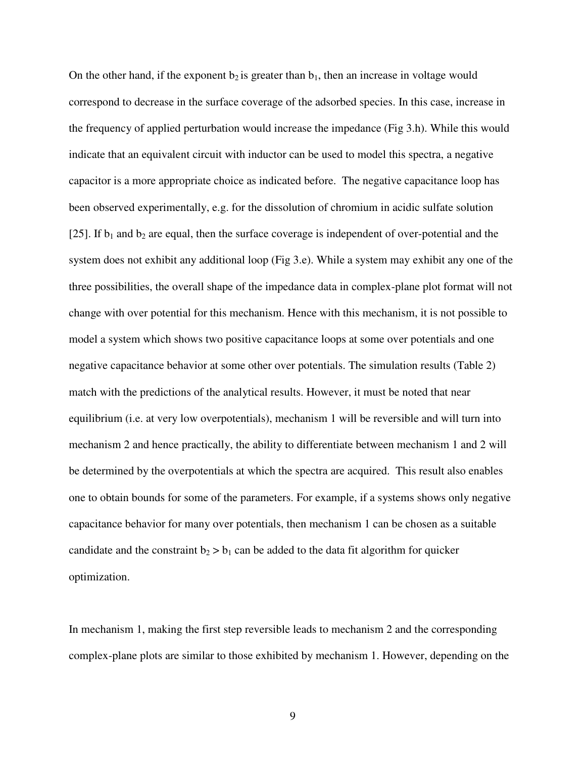On the other hand, if the exponent  $b_2$  is greater than  $b_1$ , then an increase in voltage would correspond to decrease in the surface coverage of the adsorbed species. In this case, increase in the frequency of applied perturbation would increase the impedance (Fig 3.h). While this would indicate that an equivalent circuit with inductor can be used to model this spectra, a negative capacitor is a more appropriate choice as indicated before. The negative capacitance loop has been observed experimentally, e.g. for the dissolution of chromium in acidic sulfate solution [25]. If  $b_1$  and  $b_2$  are equal, then the surface coverage is independent of over-potential and the system does not exhibit any additional loop (Fig 3.e). While a system may exhibit any one of the three possibilities, the overall shape of the impedance data in complex-plane plot format will not change with over potential for this mechanism. Hence with this mechanism, it is not possible to model a system which shows two positive capacitance loops at some over potentials and one negative capacitance behavior at some other over potentials. The simulation results (Table 2) match with the predictions of the analytical results. However, it must be noted that near equilibrium (i.e. at very low overpotentials), mechanism 1 will be reversible and will turn into mechanism 2 and hence practically, the ability to differentiate between mechanism 1 and 2 will be determined by the overpotentials at which the spectra are acquired. This result also enables one to obtain bounds for some of the parameters. For example, if a systems shows only negative capacitance behavior for many over potentials, then mechanism 1 can be chosen as a suitable candidate and the constraint  $b_2 > b_1$  can be added to the data fit algorithm for quicker optimization.

In mechanism 1, making the first step reversible leads to mechanism 2 and the corresponding complex-plane plots are similar to those exhibited by mechanism 1. However, depending on the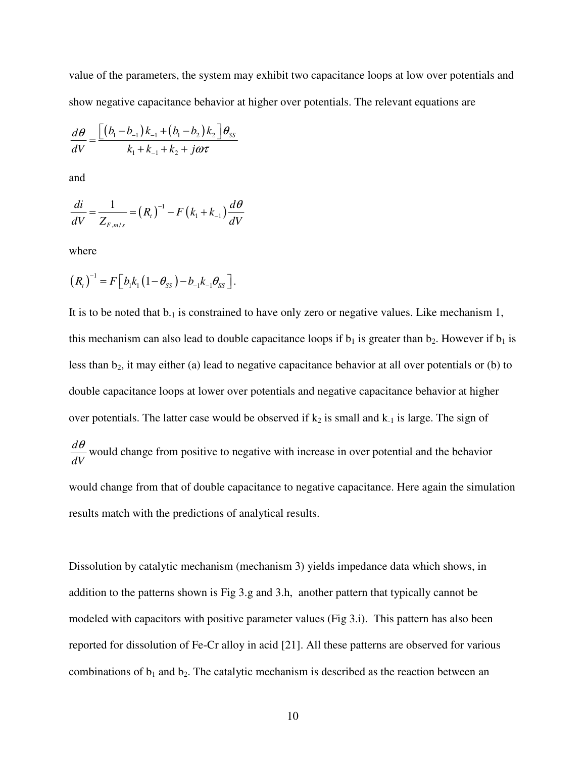value of the parameters, the system may exhibit two capacitance loops at low over potentials and show negative capacitance behavior at higher over potentials. The relevant equations are

$$
\frac{d\theta}{dV} = \frac{\left[ (b_1 - b_{-1})k_{-1} + (b_1 - b_2)k_2 \right] \theta_{SS}}{k_1 + k_{-1} + k_2 + j\omega\tau}
$$

and

$$
\frac{di}{dV} = \frac{1}{Z_{F,m/s}} = (R_t)^{-1} - F(k_1 + k_{-1})\frac{d\theta}{dV}
$$

where

$$
(R_{t})^{-1} = F [b_{1}k_{1}(1-\theta_{ss})-b_{-1}k_{-1}\theta_{ss}].
$$

It is to be noted that  $b_{-1}$  is constrained to have only zero or negative values. Like mechanism 1, this mechanism can also lead to double capacitance loops if  $b_1$  is greater than  $b_2$ . However if  $b_1$  is less than b<sub>2</sub>, it may either (a) lead to negative capacitance behavior at all over potentials or (b) to double capacitance loops at lower over potentials and negative capacitance behavior at higher over potentials. The latter case would be observed if  $k_2$  is small and  $k_1$  is large. The sign of *d dV*  $\frac{\theta}{\theta}$  would change from positive to negative with increase in over potential and the behavior would change from that of double capacitance to negative capacitance. Here again the simulation results match with the predictions of analytical results.

Dissolution by catalytic mechanism (mechanism 3) yields impedance data which shows, in addition to the patterns shown is Fig 3.g and 3.h, another pattern that typically cannot be modeled with capacitors with positive parameter values (Fig 3.i). This pattern has also been reported for dissolution of Fe-Cr alloy in acid [21]. All these patterns are observed for various combinations of  $b_1$  and  $b_2$ . The catalytic mechanism is described as the reaction between an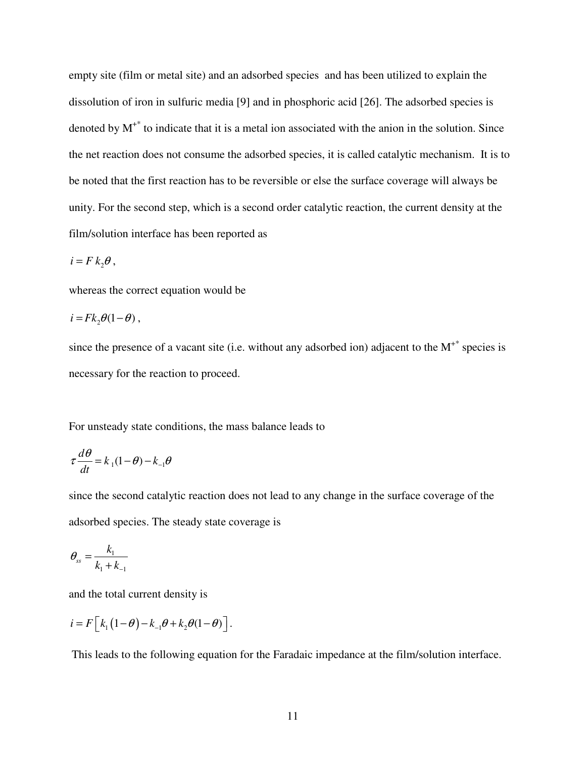empty site (film or metal site) and an adsorbed species and has been utilized to explain the dissolution of iron in sulfuric media [9] and in phosphoric acid [26]. The adsorbed species is denoted by  $M^{+*}$  to indicate that it is a metal ion associated with the anion in the solution. Since the net reaction does not consume the adsorbed species, it is called catalytic mechanism. It is to be noted that the first reaction has to be reversible or else the surface coverage will always be unity. For the second step, which is a second order catalytic reaction, the current density at the film/solution interface has been reported as

$$
i = F k_2 \theta \,,
$$

whereas the correct equation would be

$$
i = Fk_2\theta(1-\theta)\,,
$$

since the presence of a vacant site (i.e. without any adsorbed ion) adjacent to the  $M^{+*}$  species is necessary for the reaction to proceed.

For unsteady state conditions, the mass balance leads to

$$
\tau \frac{d\theta}{dt} = k_1(1-\theta) - k_1\theta
$$

since the second catalytic reaction does not lead to any change in the surface coverage of the adsorbed species. The steady state coverage is

$$
\theta_{ss} = \frac{k_1}{k_1 + k_{-1}}
$$

and the total current density is

$$
i = F\left[k_1\left(1-\theta\right)-k_{-1}\theta + k_2\theta(1-\theta)\right].
$$

This leads to the following equation for the Faradaic impedance at the film/solution interface.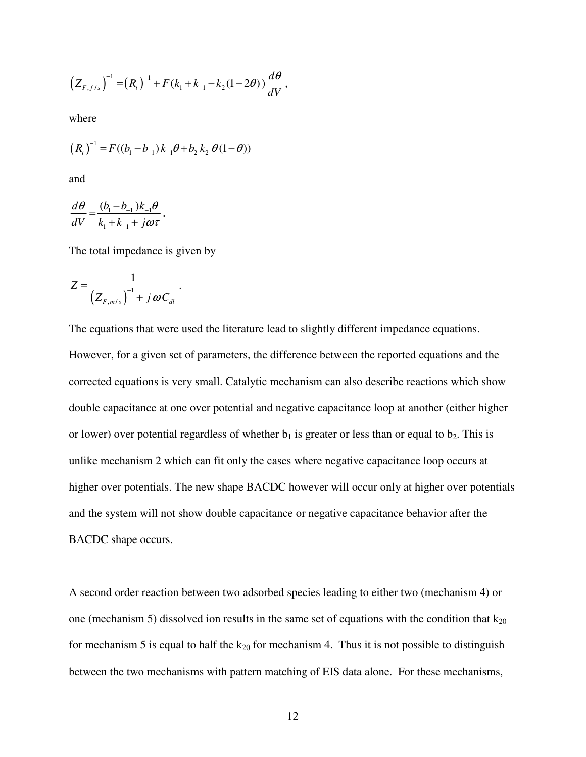$$
\left(Z_{F,f/s}\right)^{-1} = \left(R_{t}\right)^{-1} + F\left(k_{1} + k_{-1} - k_{2}(1 - 2\theta)\right) \frac{d\theta}{dV},
$$

where

$$
(Rt)-1 = F((b1 - b-1)k-1 \theta + b2 k2 \theta(1 - \theta))
$$

and

$$
\frac{d\theta}{dV} = \frac{(b_1 - b_{-1})k_{-1}\theta}{k_1 + k_{-1} + j\omega\tau}.
$$

The total impedance is given by

$$
Z=\frac{1}{\left(Z_{F,m/s}\right)^{-1}+j\,\omega C_{dl}}.
$$

The equations that were used the literature lead to slightly different impedance equations.

However, for a given set of parameters, the difference between the reported equations and the corrected equations is very small. Catalytic mechanism can also describe reactions which show double capacitance at one over potential and negative capacitance loop at another (either higher or lower) over potential regardless of whether  $b_1$  is greater or less than or equal to  $b_2$ . This is unlike mechanism 2 which can fit only the cases where negative capacitance loop occurs at higher over potentials. The new shape BACDC however will occur only at higher over potentials and the system will not show double capacitance or negative capacitance behavior after the BACDC shape occurs.

A second order reaction between two adsorbed species leading to either two (mechanism 4) or one (mechanism 5) dissolved ion results in the same set of equations with the condition that  $k_{20}$ for mechanism 5 is equal to half the  $k_{20}$  for mechanism 4. Thus it is not possible to distinguish between the two mechanisms with pattern matching of EIS data alone. For these mechanisms,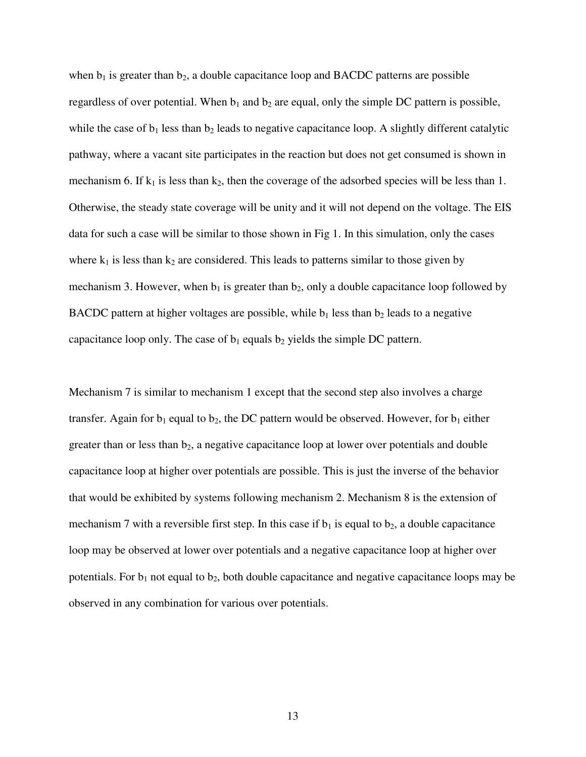when  $b_1$  is greater than  $b_2$ , a double capacitance loop and BACDC patterns are possible regardless of over potential. When  $b_1$  and  $b_2$  are equal, only the simple DC pattern is possible, while the case of  $b_1$  less than  $b_2$  leads to negative capacitance loop. A slightly different catalytic pathway, where a vacant site participates in the reaction but does not get consumed is shown in mechanism 6. If  $k_1$  is less than  $k_2$ , then the coverage of the adsorbed species will be less than 1. Otherwise, the steady state coverage will be unity and it will not depend on the voltage. The EIS data for such a case will be similar to those shown in Fig 1. In this simulation, only the cases where  $k_1$  is less than  $k_2$  are considered. This leads to patterns similar to those given by mechanism 3. However, when  $b_1$  is greater than  $b_2$ , only a double capacitance loop followed by BACDC pattern at higher voltages are possible, while  $b_1$  less than  $b_2$  leads to a negative capacitance loop only. The case of  $b_1$  equals  $b_2$  yields the simple DC pattern.

Mechanism 7 is similar to mechanism 1 except that the second step also involves a charge transfer. Again for  $b_1$  equal to  $b_2$ , the DC pattern would be observed. However, for  $b_1$  either greater than or less than  $b_2$ , a negative capacitance loop at lower over potentials and double capacitance loop at higher over potentials are possible. This is just the inverse of the behavior that would be exhibited by systems following mechanism 2. Mechanism 8 is the extension of mechanism 7 with a reversible first step. In this case if  $b_1$  is equal to  $b_2$ , a double capacitance loop may be observed at lower over potentials and a negative capacitance loop at higher over potentials. For  $b_1$  not equal to  $b_2$ , both double capacitance and negative capacitance loops may be observed in any combination for various over potentials.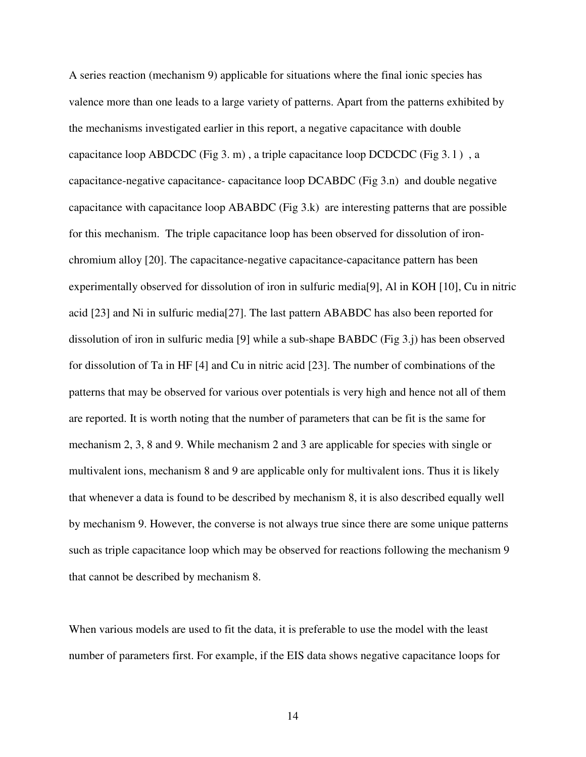A series reaction (mechanism 9) applicable for situations where the final ionic species has valence more than one leads to a large variety of patterns. Apart from the patterns exhibited by the mechanisms investigated earlier in this report, a negative capacitance with double capacitance loop ABDCDC (Fig 3. m), a triple capacitance loop DCDCDC (Fig  $3.1$ ), a capacitance-negative capacitance- capacitance loop DCABDC (Fig 3.n) and double negative capacitance with capacitance loop ABABDC (Fig 3.k) are interesting patterns that are possible for this mechanism. The triple capacitance loop has been observed for dissolution of ironchromium alloy [20]. The capacitance-negative capacitance-capacitance pattern has been experimentally observed for dissolution of iron in sulfuric media[9], Al in KOH [10], Cu in nitric acid [23] and Ni in sulfuric media[27]. The last pattern ABABDC has also been reported for dissolution of iron in sulfuric media [9] while a sub-shape BABDC (Fig 3.j) has been observed for dissolution of Ta in HF [4] and Cu in nitric acid [23]. The number of combinations of the patterns that may be observed for various over potentials is very high and hence not all of them are reported. It is worth noting that the number of parameters that can be fit is the same for mechanism 2, 3, 8 and 9. While mechanism 2 and 3 are applicable for species with single or multivalent ions, mechanism 8 and 9 are applicable only for multivalent ions. Thus it is likely that whenever a data is found to be described by mechanism 8, it is also described equally well by mechanism 9. However, the converse is not always true since there are some unique patterns such as triple capacitance loop which may be observed for reactions following the mechanism 9 that cannot be described by mechanism 8.

When various models are used to fit the data, it is preferable to use the model with the least number of parameters first. For example, if the EIS data shows negative capacitance loops for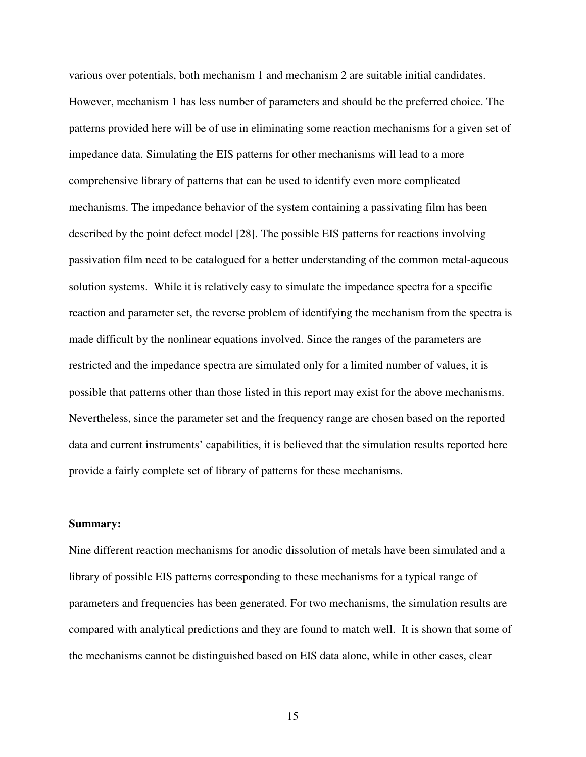various over potentials, both mechanism 1 and mechanism 2 are suitable initial candidates. However, mechanism 1 has less number of parameters and should be the preferred choice. The patterns provided here will be of use in eliminating some reaction mechanisms for a given set of impedance data. Simulating the EIS patterns for other mechanisms will lead to a more comprehensive library of patterns that can be used to identify even more complicated mechanisms. The impedance behavior of the system containing a passivating film has been described by the point defect model [28]. The possible EIS patterns for reactions involving passivation film need to be catalogued for a better understanding of the common metal-aqueous solution systems. While it is relatively easy to simulate the impedance spectra for a specific reaction and parameter set, the reverse problem of identifying the mechanism from the spectra is made difficult by the nonlinear equations involved. Since the ranges of the parameters are restricted and the impedance spectra are simulated only for a limited number of values, it is possible that patterns other than those listed in this report may exist for the above mechanisms. Nevertheless, since the parameter set and the frequency range are chosen based on the reported data and current instruments' capabilities, it is believed that the simulation results reported here provide a fairly complete set of library of patterns for these mechanisms.

#### **Summary:**

Nine different reaction mechanisms for anodic dissolution of metals have been simulated and a library of possible EIS patterns corresponding to these mechanisms for a typical range of parameters and frequencies has been generated. For two mechanisms, the simulation results are compared with analytical predictions and they are found to match well. It is shown that some of the mechanisms cannot be distinguished based on EIS data alone, while in other cases, clear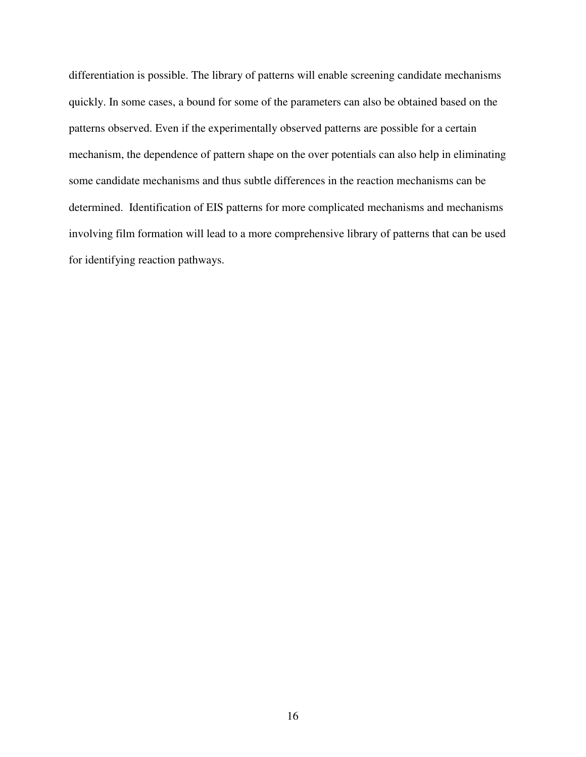differentiation is possible. The library of patterns will enable screening candidate mechanisms quickly. In some cases, a bound for some of the parameters can also be obtained based on the patterns observed. Even if the experimentally observed patterns are possible for a certain mechanism, the dependence of pattern shape on the over potentials can also help in eliminating some candidate mechanisms and thus subtle differences in the reaction mechanisms can be determined. Identification of EIS patterns for more complicated mechanisms and mechanisms involving film formation will lead to a more comprehensive library of patterns that can be used for identifying reaction pathways.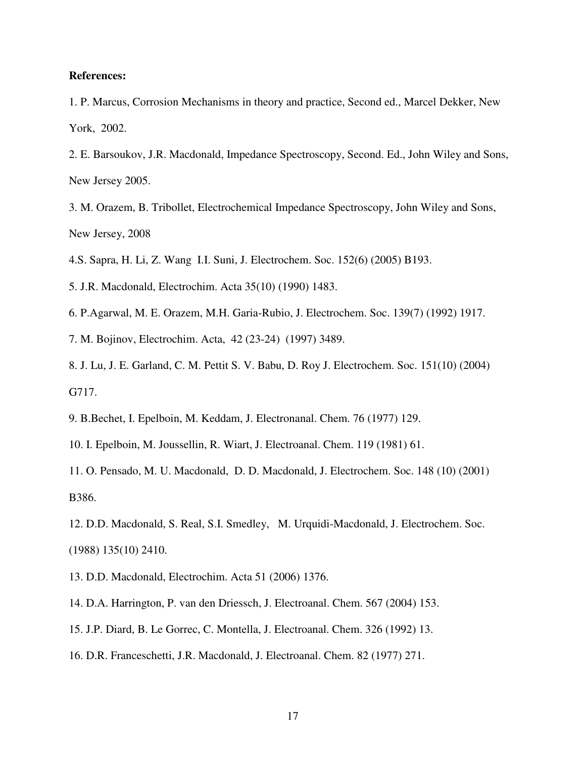#### **References:**

- 1. P. Marcus, Corrosion Mechanisms in theory and practice, Second ed., Marcel Dekker, New York, 2002.
- 2. E. Barsoukov, J.R. Macdonald, Impedance Spectroscopy, Second. Ed., John Wiley and Sons, New Jersey 2005.
- 3. M. Orazem, B. Tribollet, Electrochemical Impedance Spectroscopy, John Wiley and Sons, New Jersey, 2008

4.S. Sapra, H. Li, Z. Wang I.I. Suni, J. Electrochem. Soc. 152(6) (2005) B193.

5. J.R. Macdonald, Electrochim. Acta 35(10) (1990) 1483.

- 6. P.Agarwal, M. E. Orazem, M.H. Garia-Rubio, J. Electrochem. Soc. 139(7) (1992) 1917.
- 7. M. Bojinov, Electrochim. Acta, 42 (23-24) (1997) 3489.
- 8. J. Lu, J. E. Garland, C. M. Pettit S. V. Babu, D. Roy J. Electrochem. Soc. 151(10) (2004) G717.
- 9. B.Bechet, I. Epelboin, M. Keddam, J. Electronanal. Chem. 76 (1977) 129.
- 10. I. Epelboin, M. Joussellin, R. Wiart, J. Electroanal. Chem. 119 (1981) 61.

11. O. Pensado, M. U. Macdonald, D. D. Macdonald, J. Electrochem. Soc. 148 (10) (2001) B386.

12. D.D. Macdonald, S. Real, S.I. Smedley, M. Urquidi-Macdonald, J. Electrochem. Soc. (1988) 135(10) 2410.

- 13. D.D. Macdonald, Electrochim. Acta 51 (2006) 1376.
- 14. D.A. Harrington, P. van den Driessch, J. Electroanal. Chem. 567 (2004) 153.
- 15. J.P. Diard, B. Le Gorrec, C. Montella, J. Electroanal. Chem. 326 (1992) 13.
- 16. D.R. Franceschetti, J.R. Macdonald, J. Electroanal. Chem. 82 (1977) 271.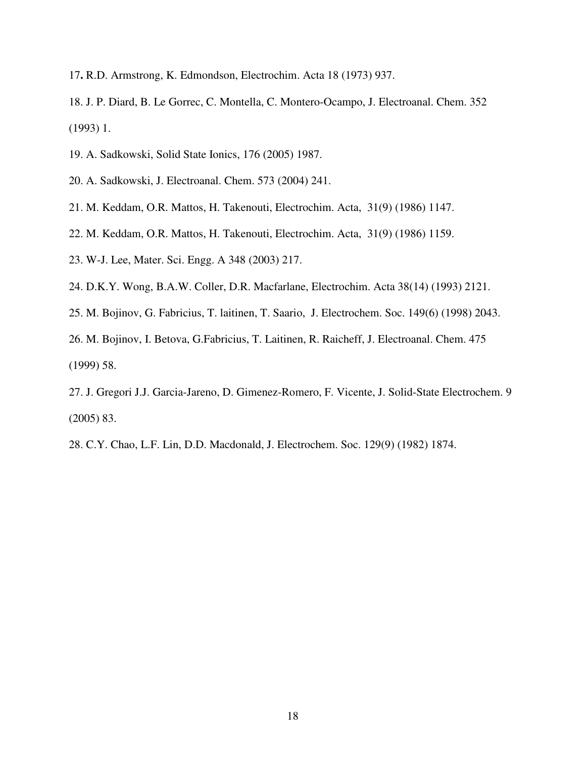- 17**.** R.D. Armstrong, K. Edmondson, Electrochim. Acta 18 (1973) 937.
- 18. J. P. Diard, B. Le Gorrec, C. Montella, C. Montero-Ocampo, J. Electroanal. Chem. 352 (1993) 1.
- 19. A. Sadkowski, Solid State Ionics, 176 (2005) 1987.
- 20. A. Sadkowski, J. Electroanal. Chem. 573 (2004) 241.
- 21. M. Keddam, O.R. Mattos, H. Takenouti, Electrochim. Acta, 31(9) (1986) 1147.
- 22. M. Keddam, O.R. Mattos, H. Takenouti, Electrochim. Acta, 31(9) (1986) 1159.
- 23. W-J. Lee, Mater. Sci. Engg. A 348 (2003) 217.
- 24. D.K.Y. Wong, B.A.W. Coller, D.R. Macfarlane, Electrochim. Acta 38(14) (1993) 2121.
- 25. M. Bojinov, G. Fabricius, T. laitinen, T. Saario, J. Electrochem. Soc. 149(6) (1998) 2043.

26. M. Bojinov, I. Betova, G.Fabricius, T. Laitinen, R. Raicheff, J. Electroanal. Chem. 475 (1999) 58.

- 27. J. Gregori J.J. Garcia-Jareno, D. Gimenez-Romero, F. Vicente, J. Solid-State Electrochem. 9 (2005) 83.
- 28. C.Y. Chao, L.F. Lin, D.D. Macdonald, J. Electrochem. Soc. 129(9) (1982) 1874.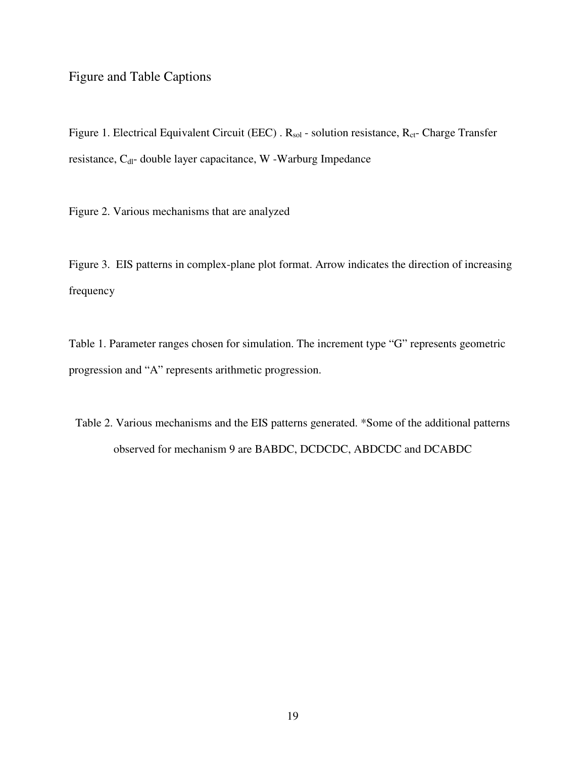# Figure and Table Captions

Figure 1. Electrical Equivalent Circuit (EEC) . R<sub>sol</sub> - solution resistance, R<sub>ct</sub>- Charge Transfer resistance, C<sub>dl</sub>- double layer capacitance, W -Warburg Impedance

Figure 2. Various mechanisms that are analyzed

Figure 3. EIS patterns in complex-plane plot format. Arrow indicates the direction of increasing frequency

Table 1. Parameter ranges chosen for simulation. The increment type "G" represents geometric progression and "A" represents arithmetic progression.

Table 2. Various mechanisms and the EIS patterns generated. \*Some of the additional patterns observed for mechanism 9 are BABDC, DCDCDC, ABDCDC and DCABDC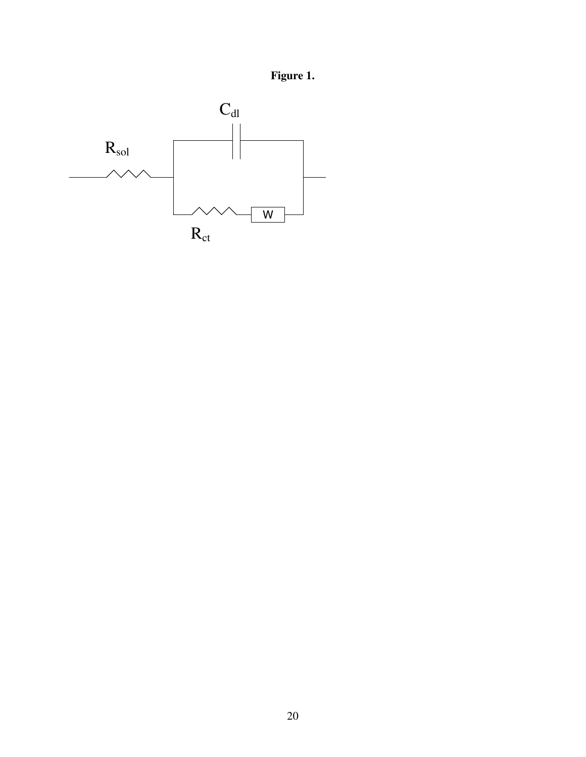**Figure 1.**

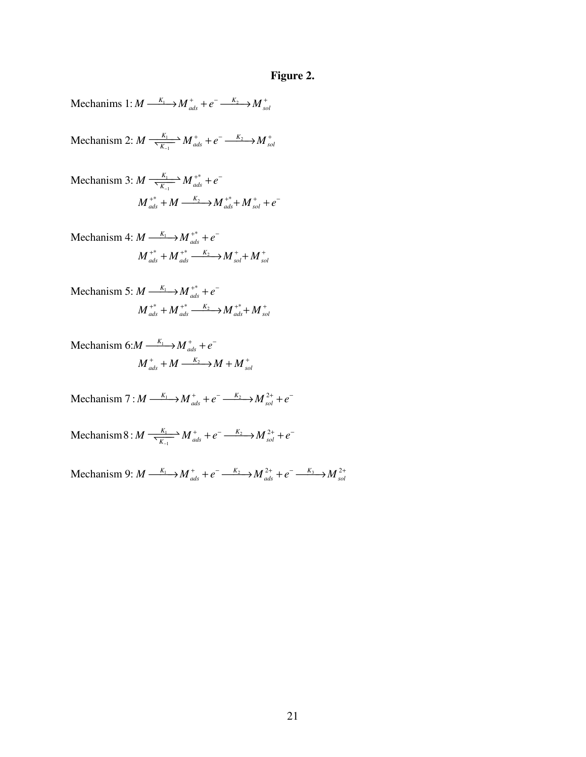# **Figure 2.**

Mechanims 1: 
$$
M \xrightarrow{K_1} M^+_{ads} + e^- \xrightarrow{K_2} M^+_{sol}
$$

 $\rightarrow M^+$   $\rightarrow a^ \rightarrow K_2$ Mechanism 2:  $M \xrightarrow[K_1]{} M_{ads}^+ + e^- \xrightarrow[K_1]{} K_{ads}^ M \xrightarrow[\text{K}_{-1}]{\text{A}_{1}} M^{+}_{ads} + e^{-} \xrightarrow[\text{K}_{2}]{\text{K}_{2}} M^{+}_{sol}$  $\frac{K_1}{\sqrt{K_2}} M_{ads}^+ + e^- \longrightarrow M_{ss}^+$ 

Mechanism 3: 
$$
M \frac{K_1}{K_{-1}} M_{ads}^{*} + e^{-}
$$
  
\n $M_{ads}^{*} + M \xrightarrow{K_2} M_{ads}^{*} + M_{sol}^{*} + e^{-}$ 

Mechanism 4: 
$$
M \xrightarrow{K_1} M \xrightarrow{d*} M^* \neq e^-
$$
  
\n $M \xrightarrow{d*} M \xrightarrow{d*} M \xrightarrow{K_2} M \xrightarrow{d*} M \xrightarrow{d*} M \xrightarrow{d*} M$ 

Mechanism 5: 
$$
M \xrightarrow{K_1} M_{ads}^{+*} + e^-
$$
  
\n $M_{ads}^{+*} + M_{ads}^{+*} \xrightarrow{K_2} M_{ads}^{+*} + M_{sol}^{+}$ 

Mechanism 6:M 
$$
\xrightarrow{K_1} M^+_{ads} + e^-
$$
  

$$
M^+_{ads} + M \xrightarrow{K_2} M + M^+_{sol}
$$

Mechanism 7 :  $M \xrightarrow{K_1} M_{ads}^+ + e^- \xrightarrow{K_2} M_{sg}^2$  $M \stackrel{K_1}{\longrightarrow} M^+_{ads} + e^- \stackrel{K_2}{\longrightarrow} M^{\,2+}_{sol} + e^-$ 

 $\rightarrow M^+$  +  $e^ \frac{K_2}{\sqrt{1-\frac{K_2}{K_1}}}$ 1 Mechanism 8 :  $M \xrightarrow[\text{X}]{} M_{ads}^+ + e^- \xrightarrow[K_2]{} M_{sg}^2$  $M \xrightarrow[\text{K}_{-1}]{\text{K}_{-1}} M^+_{ads} + e^- \xrightarrow{\text{K}_2} M^2_{sol} + e^ \frac{K_1}{\sum_{r}} M_{ads}^+ + e^- \stackrel{K_2}{\longrightarrow} M_{sol}^{2+} + e^-$ 

 $\text{Mechanism 9: } M \xrightarrow{K_1} M_{ads}^+ + e^- \xrightarrow{K_2} M_{ads}^{2+} + e^- \xrightarrow{K_3} M_{sol}^{2+}$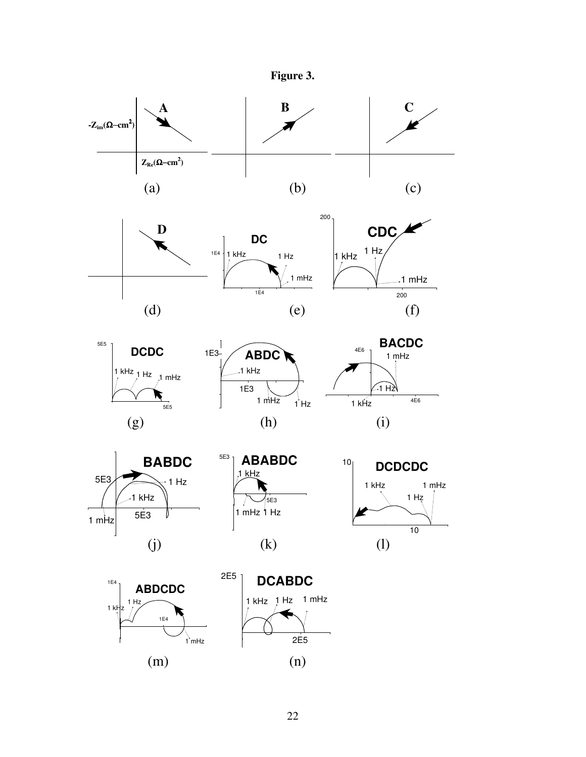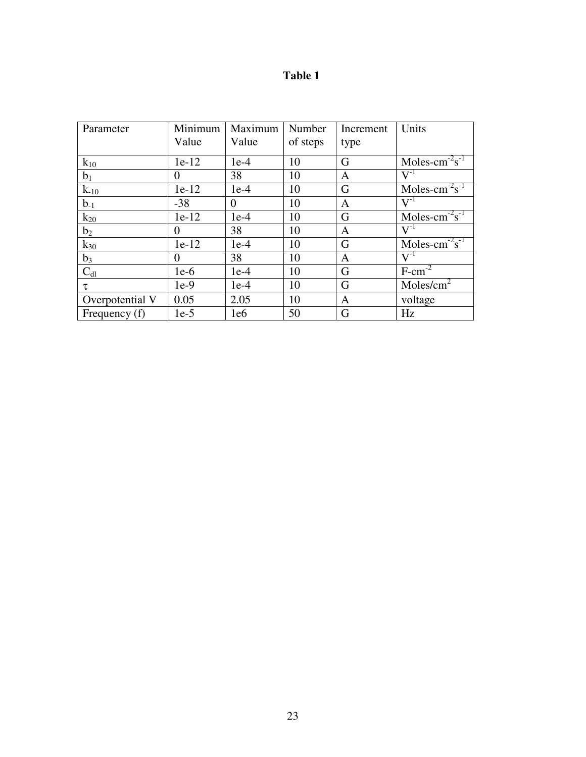| H<br>m<br>٦ι<br>п |  |
|-------------------|--|
|                   |  |

| Parameter       | Minimum  | Maximum | Number   | Increment | Units                                  |
|-----------------|----------|---------|----------|-----------|----------------------------------------|
|                 | Value    | Value   | of steps | type      |                                        |
| $k_{10}$        | $1e-12$  | $1e-4$  | 10       | G         | Moles- $cm^{-2}s^{-1}$                 |
| $b_1$           | $\Omega$ | 38      | 10       | A         | $\mathrm{V}^{\text{-}1}$               |
| $k_{-10}$       | $1e-12$  | $1e-4$  | 10       | G         | Moles-cm <sup>-2</sup> s <sup>-1</sup> |
| $b_{-1}$        | $-38$    | 0       | 10       | A         | $V^{-1}$                               |
| $k_{20}$        | $1e-12$  | $1e-4$  | 10       | G         | Moles-cm <sup>-2</sup> s <sup>-1</sup> |
| b <sub>2</sub>  | $\Omega$ | 38      | 10       | A         | $\overline{\mathbf{V}^{\text{-}1}}$    |
| $k_{30}$        | $1e-12$  | $1e-4$  | 10       | G         | Moles-cm <sup>-2</sup> s <sup>-1</sup> |
| $b_3$           | $\Omega$ | 38      | 10       | A         | $V^{-1}$                               |
| $C_{dl}$        | $1e-6$   | $1e-4$  | 10       | G         | $F-cm-2$                               |
| τ               | $1e-9$   | $1e-4$  | 10       | G         | Moles/cm <sup>2</sup>                  |
| Overpotential V | 0.05     | 2.05    | 10       | A         | voltage                                |
| Frequency (f)   | $1e-5$   | 1e6     | 50       | G         | Hz                                     |